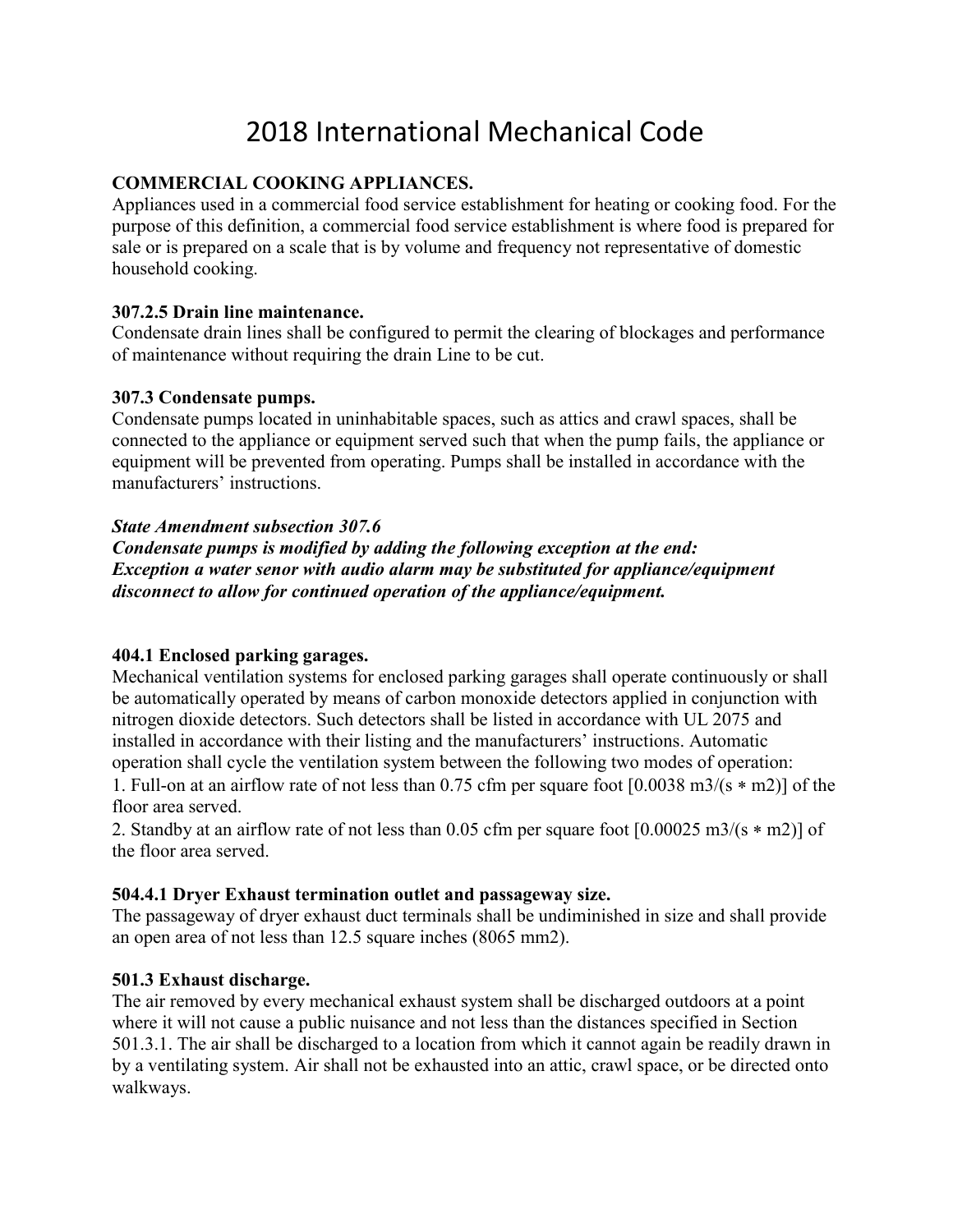# 2018 International Mechanical Code

# **COMMERCIAL COOKING APPLIANCES.**

Appliances used in a commercial food service establishment for heating or cooking food. For the purpose of this definition, a commercial food service establishment is where food is prepared for sale or is prepared on a scale that is by volume and frequency not representative of domestic household cooking.

## **307.2.5 Drain line maintenance.**

Condensate drain lines shall be configured to permit the clearing of blockages and performance of maintenance without requiring the drain Line to be cut.

# **307.3 Condensate pumps.**

Condensate pumps located in uninhabitable spaces, such as attics and crawl spaces, shall be connected to the appliance or equipment served such that when the pump fails, the appliance or equipment will be prevented from operating. Pumps shall be installed in accordance with the manufacturers' instructions.

# *State Amendment subsection 307.6*

*Condensate pumps is modified by adding the following exception at the end: Exception a water senor with audio alarm may be substituted for appliance/equipment disconnect to allow for continued operation of the appliance/equipment.*

## **404.1 Enclosed parking garages.**

Mechanical ventilation systems for enclosed parking garages shall operate continuously or shall be automatically operated by means of carbon monoxide detectors applied in conjunction with nitrogen dioxide detectors. Such detectors shall be listed in accordance with UL 2075 and installed in accordance with their listing and the manufacturers' instructions. Automatic operation shall cycle the ventilation system between the following two modes of operation: 1. Full-on at an airflow rate of not less than 0.75 cfm per square foot [0.0038 m3/(s ∗ m2)] of the floor area served.

2. Standby at an airflow rate of not less than 0.05 cfm per square foot [0.00025 m3/(s ∗ m2)] of the floor area served.

# **504.4.1 Dryer Exhaust termination outlet and passageway size.**

The passageway of dryer exhaust duct terminals shall be undiminished in size and shall provide an open area of not less than 12.5 square inches (8065 mm2).

# **501.3 Exhaust discharge.**

The air removed by every mechanical exhaust system shall be discharged outdoors at a point where it will not cause a public nuisance and not less than the distances specified in Section 501.3.1. The air shall be discharged to a location from which it cannot again be readily drawn in by a ventilating system. Air shall not be exhausted into an attic, crawl space, or be directed onto walkways.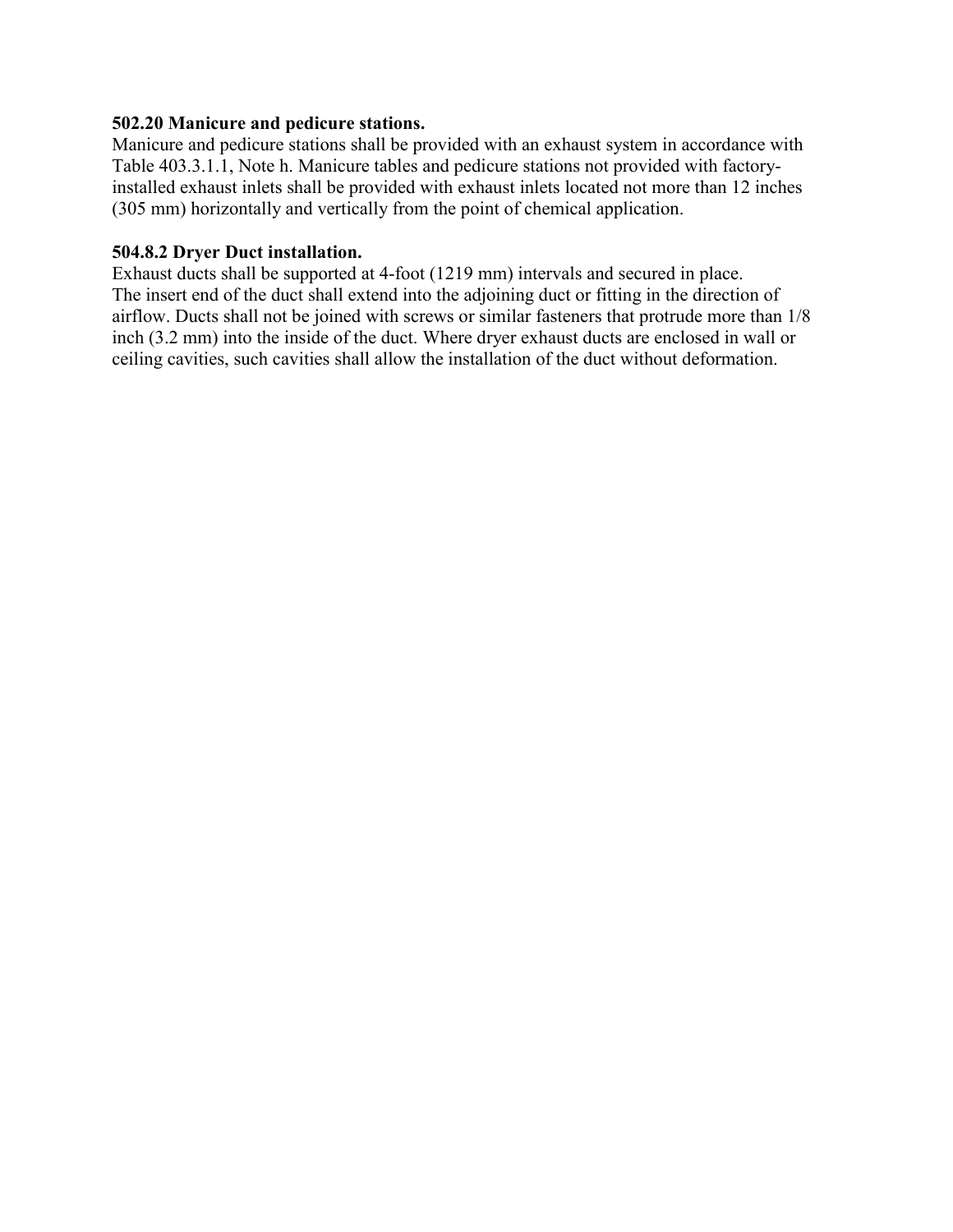#### **502.20 Manicure and pedicure stations.**

Manicure and pedicure stations shall be provided with an exhaust system in accordance with Table 403.3.1.1, Note h. Manicure tables and pedicure stations not provided with factoryinstalled exhaust inlets shall be provided with exhaust inlets located not more than 12 inches (305 mm) horizontally and vertically from the point of chemical application.

### **504.8.2 Dryer Duct installation.**

Exhaust ducts shall be supported at 4-foot (1219 mm) intervals and secured in place. The insert end of the duct shall extend into the adjoining duct or fitting in the direction of airflow. Ducts shall not be joined with screws or similar fasteners that protrude more than 1/8 inch (3.2 mm) into the inside of the duct. Where dryer exhaust ducts are enclosed in wall or ceiling cavities, such cavities shall allow the installation of the duct without deformation.